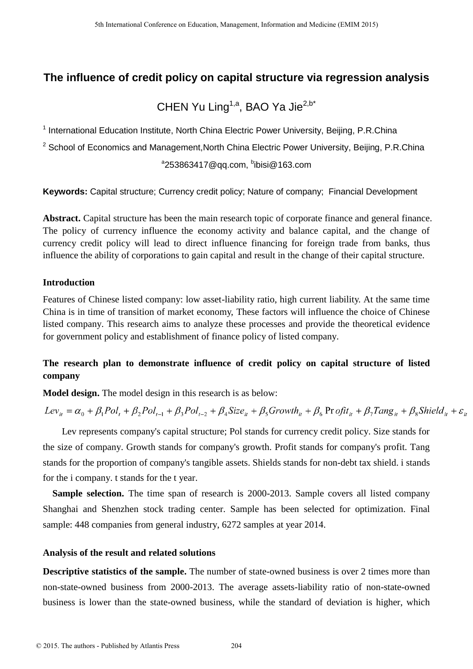## **The influence of credit policy on capital structure via regression analysis**

# CHEN Yu Ling<sup>1,a</sup>, BAO Ya Jie<sup>2,b\*</sup>

<sup>1</sup> International Education Institute, North China Electric Power University, Beijing, P.R.China

<sup>2</sup> School of Economics and Management, North China Electric Power University, Beijing, P.R.China

### $^{\circ}$ 253863417@qq.com,  $^{\circ}$ ibisi@163.com

**Keywords:** Capital structure; Currency credit policy; Nature of company; Financial Development

**Abstract.** Capital structure has been the main research topic of corporate finance and general finance. The policy of currency influence the economy activity and balance capital, and the change of currency credit policy will lead to direct influence financing for foreign trade from banks, thus influence the ability of corporations to gain capital and result in the change of their capital structure.

### **Introduction**

Features of Chinese listed company: low asset-liability ratio, high current liability. At the same time China is in time of transition of market economy, These factors will influence the choice of Chinese listed company. This research aims to analyze these processes and provide the theoretical evidence for government policy and establishment of finance policy of listed company.

### **The research plan to demonstrate influence of credit policy on capital structure of listed company**

**Model design.** The model design in this research is as below:

 $Lev_{ii} = \alpha_0 + \beta_1 Pol_i + \beta_2 Pol_{i-1} + \beta_3 Pol_{i-2} + \beta_4 Size_{ii} + \beta_5 Growth_{ii} + \beta_6 Profit_{ii} + \beta_7 Tang_{ii} + \beta_8 Shields_{ii} + \varepsilon_{ii}$ 

 Lev represents company's capital structure; Pol stands for currency credit policy. Size stands for the size of company. Growth stands for company's growth. Profit stands for company's profit. Tang stands for the proportion of company's tangible assets. Shields stands for non-debt tax shield. i stands for the i company. t stands for the t year.

**Sample selection.** The time span of research is 2000-2013. Sample covers all listed company Shanghai and Shenzhen stock trading center. Sample has been selected for optimization. Final sample: 448 companies from general industry, 6272 samples at year 2014.

### **Analysis of the result and related solutions**

**Descriptive statistics of the sample.** The number of state-owned business is over 2 times more than non-state-owned business from 2000-2013. The average assets-liability ratio of non-state-owned business is lower than the state-owned business, while the standard of deviation is higher, which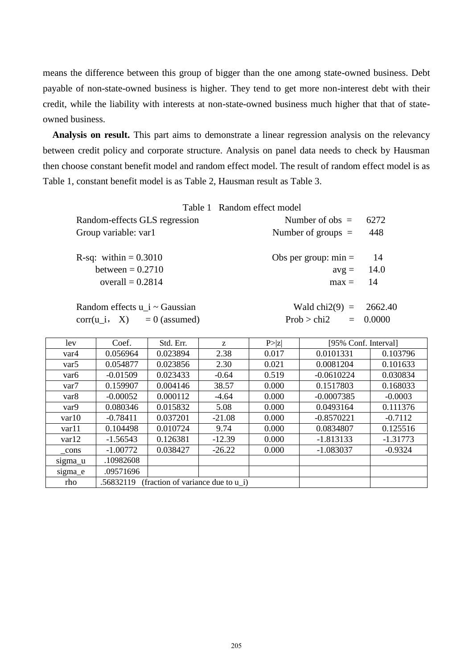means the difference between this group of bigger than the one among state-owned business. Debt payable of non-state-owned business is higher. They tend to get more non-interest debt with their credit, while the liability with interests at non-state-owned business much higher that that of stateowned business.

**Analysis on result.** This part aims to demonstrate a linear regression analysis on the relevancy between credit policy and corporate structure. Analysis on panel data needs to check by Hausman then choose constant benefit model and random effect model. The result of random effect model is as Table 1, constant benefit model is as Table 2, Hausman result as Table 3.

|                                 | Table 1 Random effect model |      |
|---------------------------------|-----------------------------|------|
| Random-effects GLS regression   | Number of $obs =$           | 6272 |
| Group variable: var1            | Number of groups $=$        | 448  |
| <b>R</b> -sq: within $= 0.3010$ | Obs per group: $min =$      | -14  |
| between $= 0.2710$              | $avg = 14.0$                |      |
| overall $= 0.2814$              | $max = 14$                  |      |
| Random effects u_i ~ Gaussian   | Wald chi2(9) = $2662.40$    |      |

|  | Random effects $u$ i ~ Gaussian |
|--|---------------------------------|
|  | corr(u i, $X$ ) = 0 (assumed)   |

|  | Random effects $u$ i $\sim$ Gaussian | Wald chi2(9) = $2662.40$ |            |
|--|--------------------------------------|--------------------------|------------|
|  | corr(u i, X) = 0 (assumed)           | Prob > chi2              | $= 0.0000$ |

| lev              | Coef.                                          | Std. Err. | Z        | P >  z |              | [95% Conf. Interval] |  |
|------------------|------------------------------------------------|-----------|----------|--------|--------------|----------------------|--|
| var4             | 0.056964                                       | 0.023894  | 2.38     | 0.017  | 0.0101331    | 0.103796             |  |
| var <sub>5</sub> | 0.054877                                       | 0.023856  | 2.30     | 0.021  | 0.0081204    | 0.101633             |  |
| var <sub>6</sub> | $-0.01509$                                     | 0.023433  | $-0.64$  | 0.519  | $-0.0610224$ | 0.030834             |  |
| var <sub>7</sub> | 0.159907                                       | 0.004146  | 38.57    | 0.000  | 0.1517803    | 0.168033             |  |
| var <sub>8</sub> | $-0.00052$                                     | 0.000112  | $-4.64$  | 0.000  | $-0.0007385$ | $-0.0003$            |  |
| var9             | 0.080346                                       | 0.015832  | 5.08     | 0.000  | 0.0493164    | 0.111376             |  |
| var10            | $-0.78411$                                     | 0.037201  | $-21.08$ | 0.000  | $-0.8570221$ | $-0.7112$            |  |
| var11            | 0.104498                                       | 0.010724  | 9.74     | 0.000  | 0.0834807    | 0.125516             |  |
| var12            | $-1.56543$                                     | 0.126381  | $-12.39$ | 0.000  | $-1.813133$  | $-1.31773$           |  |
| cons             | $-1.00772$                                     | 0.038427  | $-26.22$ | 0.000  | $-1.083037$  | $-0.9324$            |  |
| sigma u          | .10982608                                      |           |          |        |              |                      |  |
| sigma_e          | .09571696                                      |           |          |        |              |                      |  |
| rho              | (fraction of variance due to u i)<br>.56832119 |           |          |        |              |                      |  |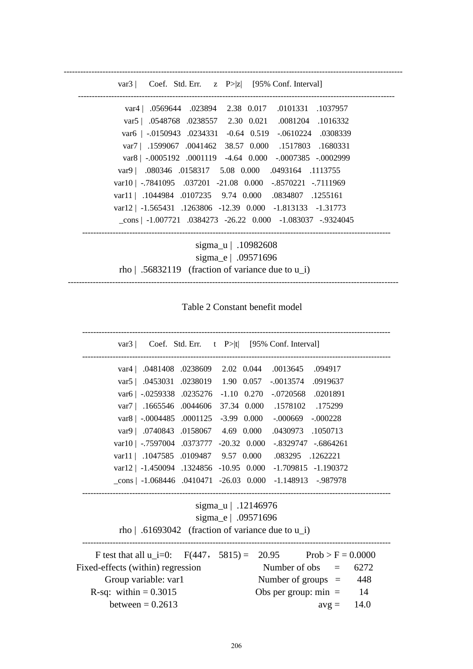------------------------------------------------------------------------------------------------------------------------- var3 | Coef. Std. Err. z P>|z| [95% Conf. Interval] ----------------------------------------------------------------------------------------------------------------- var4 | .0569644 .023894 2.38 0.017 .0101331 .1037957 var5 | .0548768 .0238557 2.30 0.021 .0081204 .1016332 var6 | -.0150943 .0234331 -0.64 0.519 -.0610224 .0308339 var7 | .1599067 .0041462 38.57 0.000 .1517803 .1680331 var8 | -.0005192 .0001119 -4.64 0.000 -.0007385 -.0002999 var9 | .080346 .0158317 5.08 0.000 .0493164 .1113755 var10 | -.7841095 .037201 -21.08 0.000 -.8570221 -.7111969 var11 | .1044984 .0107235 9.74 0.000 .0834807 .1255161 var12 | -1.565431 .1263806 -12.39 0.000 -1.813133 -1.31773 \_cons | -1.007721 .0384273 -26.22 0.000 -1.083037 -.9324045 -------------------------------------------------------------------------------------------------------------- sigma\_u | .10982608 sigma e | .09571696 rho  $\vert .56832119 \vert$  (fraction of variance due to u\_i) -----------------------------------------------------------------------------------------------------------------------

Table 2 Constant benefit model

| var3   Coef. Std. Err. $t$ P> t  [95% Conf. Interval]              |  |  |  |  |  |
|--------------------------------------------------------------------|--|--|--|--|--|
| var4   .0481408 .0238609 2.02 0.044 .0013645 .094917               |  |  |  |  |  |
| var5   .0453031 .0238019 1.90 0.057<br>$-.0013574$<br>.0919637     |  |  |  |  |  |
| var6   -.0259338 .0235276 -1.10 0.270 -.0720568 .0201891           |  |  |  |  |  |
| var7   .1665546 .0044606 37.34 0.000 .1578102 .175299              |  |  |  |  |  |
| var8   -.0004485 .0001125 -3.99 0.000 -.000669 -.000228            |  |  |  |  |  |
| var9   .0740843 .0158067 4.69 0.000<br>.0430973 .1050713           |  |  |  |  |  |
| var10   -.7597004 .0373777 -20.32 0.000<br>-.8329747 -.6864261     |  |  |  |  |  |
| var11   .1047585 .0109487 9.57 0.000 .083295 .1262221              |  |  |  |  |  |
| var12   -1.450094 .1324856 -10.95 0.000 -1.709815 -1.190372        |  |  |  |  |  |
| cons   -1.068446 .0410471 -26.03 0.000 -1.148913 -.987978          |  |  |  |  |  |
| sigma_u   .12146976<br>sigma_e   .09571696                         |  |  |  |  |  |
| rho   .61693042 (fraction of variance due to $u_i$ )               |  |  |  |  |  |
| F test that all $u_i=0$ : $F(447, 5815) = 20.95$ Prob > F = 0.0000 |  |  |  |  |  |
| Fixed-effects (within) regression<br>Number of obs $=$<br>6272     |  |  |  |  |  |
| Group variable: var1<br>Number of groups $=$ 448                   |  |  |  |  |  |
| R-sq: within $= 0.3015$<br>Obs per group: $min =$<br>14            |  |  |  |  |  |
| between = $0.2613$<br>$avg = 14.0$                                 |  |  |  |  |  |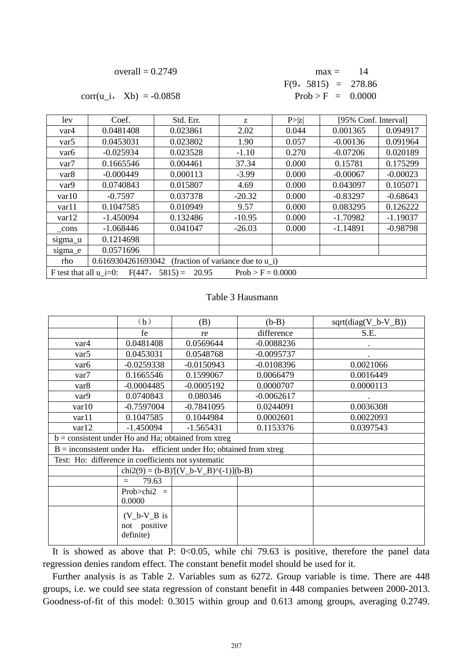| overall $= 0.2749$ |  |
|--------------------|--|
|--------------------|--|

| overall $= 0.2749$    | $\text{max} = 14$     |  |
|-----------------------|-----------------------|--|
|                       | $F(9, 5815) = 278.86$ |  |
| $(u i, Xb) = -0.0858$ | $Prob > F = 0.0000$   |  |

 $corr(u_i, Xb) = -0.0858$ 

| lev                                                                             | Coef.       | Std. Err. | Z        | P >  z | [95% Conf. Interval] |            |
|---------------------------------------------------------------------------------|-------------|-----------|----------|--------|----------------------|------------|
| var4                                                                            | 0.0481408   | 0.023861  | 2.02     | 0.044  | 0.001365             | 0.094917   |
| var <sub>5</sub>                                                                | 0.0453031   | 0.023802  | 1.90     | 0.057  | $-0.00136$           | 0.091964   |
| var <sub>6</sub>                                                                | $-0.025934$ | 0.023528  | $-1.10$  | 0.270  | $-0.07206$           | 0.020189   |
| var <sub>7</sub>                                                                | 0.1665546   | 0.004461  | 37.34    | 0.000  | 0.15781              | 0.175299   |
| var <sub>8</sub>                                                                | $-0.000449$ | 0.000113  | $-3.99$  | 0.000  | $-0.00067$           | $-0.00023$ |
| var9                                                                            | 0.0740843   | 0.015807  | 4.69     | 0.000  | 0.043097             | 0.105071   |
| var10                                                                           | $-0.7597$   | 0.037378  | $-20.32$ | 0.000  | $-0.83297$           | $-0.68643$ |
| var11                                                                           | 0.1047585   | 0.010949  | 9.57     | 0.000  | 0.083295             | 0.126222   |
| var12                                                                           | $-1.450094$ | 0.132486  | $-10.95$ | 0.000  | $-1.70982$           | $-1.19037$ |
| cons                                                                            | $-1.068446$ | 0.041047  | $-26.03$ | 0.000  | $-1.14891$           | $-0.98798$ |
| sigma_u                                                                         | 0.1214698   |           |          |        |                      |            |
| sigma_e                                                                         | 0.0571696   |           |          |        |                      |            |
| (fraction of variance due to $u_i$ )<br>0.6169304261693042<br>rho               |             |           |          |        |                      |            |
| F test that all $u_i=0$ :<br>F(447,<br>$5815 =$<br>20.95<br>$Prob > F = 0.0000$ |             |           |          |        |                      |            |

#### Table 3 Hausmann

|                                                       | (b)                                         | (B)                                                                  | $(b-B)$      | $sqrt(diag(V_b-V_B))$ |
|-------------------------------------------------------|---------------------------------------------|----------------------------------------------------------------------|--------------|-----------------------|
|                                                       | fe                                          | re                                                                   | difference   | S.E.                  |
| var4                                                  | 0.0481408                                   | 0.0569644                                                            | $-0.0088236$ |                       |
| var <sub>5</sub>                                      | 0.0453031                                   | 0.0548768                                                            | $-0.0095737$ |                       |
| var <sub>6</sub>                                      | $-0.0259338$                                | $-0.0150943$                                                         | $-0.0108396$ | 0.0021066             |
| var <sub>7</sub>                                      | 0.1665546                                   | 0.1599067                                                            | 0.0066479    | 0.0016449             |
| var <sub>8</sub>                                      | $-0.0004485$                                | $-0.0005192$                                                         | 0.0000707    | 0.0000113             |
| var9                                                  | 0.0740843                                   | 0.080346                                                             | $-0.0062617$ |                       |
| var10                                                 | $-0.7597004$                                | $-0.7841095$                                                         | 0.0244091    | 0.0036308             |
| var11                                                 | 0.1047585                                   | 0.1044984                                                            | 0.0002601    | 0.0022093             |
| var12                                                 | $-1.450094$                                 | $-1.565431$                                                          | 0.1153376    | 0.0397543             |
| $b =$ consistent under Ho and Ha; obtained from xtreg |                                             |                                                                      |              |                       |
|                                                       |                                             | $B =$ inconsistent under Ha, efficient under Ho; obtained from xtreg |              |                       |
| Test: Ho: difference in coefficients not systematic   |                                             |                                                                      |              |                       |
|                                                       |                                             | $chi2(9) = (b-B) [ (V_b-V_B)^(-1) ] (b-B)$                           |              |                       |
|                                                       | 79.63<br>$=$                                |                                                                      |              |                       |
|                                                       | Prob $\ge$ chi2 =<br>0.0000                 |                                                                      |              |                       |
|                                                       | $(V_b-V_B)$ is<br>not positive<br>definite) |                                                                      |              |                       |

It is showed as above that P:  $0<0.05$ , while chi 79.63 is positive, therefore the panel data regression denies random effect. The constant benefit model should be used for it.

Further analysis is as Table 2. Variables sum as 6272. Group variable is time. There are 448 groups, i.e. we could see stata regression of constant benefit in 448 companies between 2000-2013. Goodness-of-fit of this model: 0.3015 within group and 0.613 among groups, averaging 0.2749.